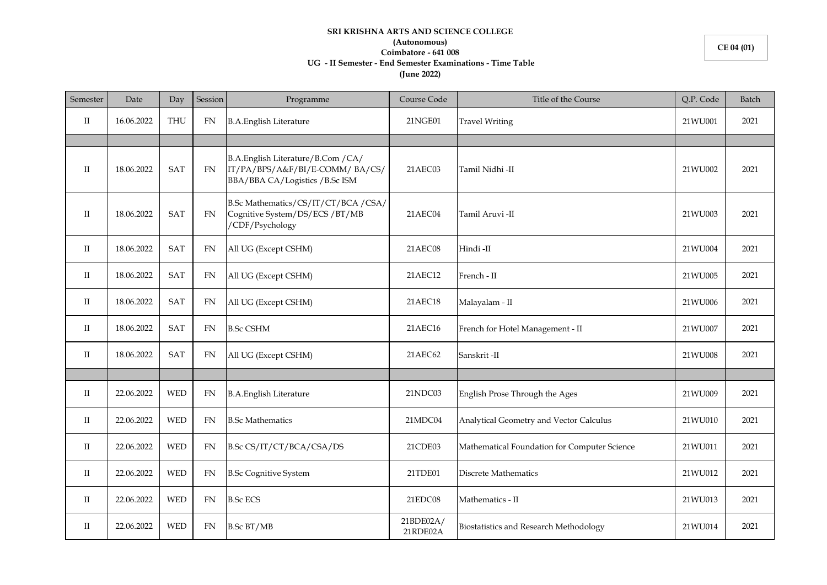## **SRI KRISHNA ARTS AND SCIENCE COLLEGE (Autonomous) Coimbatore - 641 008 UG - II Semester - End Semester Examinations - Time Table (June 2022)**

| Semester     | Date       | Day        | Session   | Programme                                                                                               | Course Code           | Title of the Course                          | Q.P. Code | Batch |
|--------------|------------|------------|-----------|---------------------------------------------------------------------------------------------------------|-----------------------|----------------------------------------------|-----------|-------|
| $_{\rm II}$  | 16.06.2022 | <b>THU</b> | FN        | <b>B.A.English Literature</b>                                                                           | 21NGE01               | <b>Travel Writing</b>                        | 21WU001   | 2021  |
|              |            |            |           |                                                                                                         |                       |                                              |           |       |
| $\mathbf{I}$ | 18.06.2022 | <b>SAT</b> | <b>FN</b> | B.A.English Literature/B.Com / CA/<br>IT/PA/BPS/A&F/BI/E-COMM/BA/CS/<br>BBA/BBA CA/Logistics / B.Sc ISM | 21AEC03               | Tamil Nidhi -II                              | 21WU002   | 2021  |
| $_{\rm II}$  | 18.06.2022 | <b>SAT</b> | <b>FN</b> | B.Sc Mathematics/CS/IT/CT/BCA/CSA/<br>Cognitive System/DS/ECS/BT/MB<br>/CDF/Psychology                  | 21AEC04               | Tamil Aruvi -II                              | 21WU003   | 2021  |
| $_{\rm II}$  | 18.06.2022 | <b>SAT</b> | <b>FN</b> | All UG (Except CSHM)                                                                                    | 21AEC08               | Hindi-II                                     | 21WU004   | 2021  |
| П            | 18.06.2022 | <b>SAT</b> | <b>FN</b> | All UG (Except CSHM)                                                                                    | 21AEC12               | French - II                                  | 21WU005   | 2021  |
| $_{\rm II}$  | 18.06.2022 | <b>SAT</b> | FN        | All UG (Except CSHM)                                                                                    | 21AEC18               | Malayalam - II                               | 21WU006   | 2021  |
| П            | 18.06.2022 | <b>SAT</b> | <b>FN</b> | <b>B.Sc CSHM</b>                                                                                        | 21AEC16               | French for Hotel Management - II             | 21WU007   | 2021  |
| П            | 18.06.2022 | <b>SAT</b> | <b>FN</b> | All UG (Except CSHM)                                                                                    | 21AEC62               | Sanskrit-II                                  | 21WU008   | 2021  |
|              |            |            |           |                                                                                                         |                       |                                              |           |       |
| $_{\rm II}$  | 22.06.2022 | <b>WED</b> | FN        | <b>B.A.English Literature</b>                                                                           | 21NDC03               | English Prose Through the Ages               | 21WU009   | 2021  |
| $_{\rm II}$  | 22.06.2022 | <b>WED</b> | <b>FN</b> | <b>B.Sc Mathematics</b>                                                                                 | 21MDC04               | Analytical Geometry and Vector Calculus      | 21WU010   | 2021  |
| П            | 22.06.2022 | <b>WED</b> | <b>FN</b> | B.Sc CS/IT/CT/BCA/CSA/DS                                                                                | 21CDE03               | Mathematical Foundation for Computer Science | 21WU011   | 2021  |
| $_{\rm II}$  | 22.06.2022 | <b>WED</b> | <b>FN</b> | <b>B.Sc Cognitive System</b>                                                                            | 21TDE01               | <b>Discrete Mathematics</b>                  | 21WU012   | 2021  |
| $_{\rm II}$  | 22.06.2022 | <b>WED</b> | FN        | <b>B.Sc ECS</b>                                                                                         | 21EDC08               | Mathematics - II                             | 21WU013   | 2021  |
| $\mathbf{I}$ | 22.06.2022 | <b>WED</b> | FN        | <b>B.Sc BT/MB</b>                                                                                       | 21BDE02A/<br>21RDE02A | Biostatistics and Research Methodology       | 21WU014   | 2021  |

**CE 04 (01)**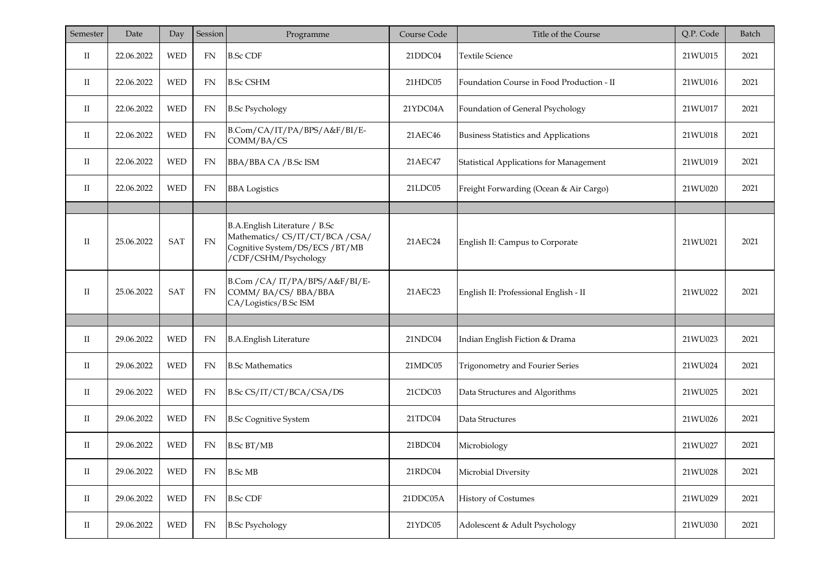| Semester     | Date       | Day        | Session    | Programme                                                                                                                | Course Code | Title of the Course                         | Q.P. Code | Batch |
|--------------|------------|------------|------------|--------------------------------------------------------------------------------------------------------------------------|-------------|---------------------------------------------|-----------|-------|
| $_{\rm II}$  | 22.06.2022 | <b>WED</b> | FN         | <b>B.Sc CDF</b>                                                                                                          | 21DDC04     | <b>Textile Science</b>                      | 21WU015   | 2021  |
| П            | 22.06.2022 | <b>WED</b> | FN         | <b>B.Sc CSHM</b>                                                                                                         | 21HDC05     | Foundation Course in Food Production - II   | 21WU016   | 2021  |
| $_{\rm II}$  | 22.06.2022 | <b>WED</b> | FN         | <b>B.Sc Psychology</b>                                                                                                   | 21YDC04A    | Foundation of General Psychology            | 21WU017   | 2021  |
| $_{\rm II}$  | 22.06.2022 | <b>WED</b> | ${\rm FN}$ | B.Com/CA/IT/PA/BPS/A&F/BI/E-<br>COMM/BA/CS                                                                               | 21AEC46     | <b>Business Statistics and Applications</b> | 21WU018   | 2021  |
| $\mathbf{I}$ | 22.06.2022 | <b>WED</b> | FN         | BBA/BBA CA / B.Sc ISM                                                                                                    | 21AEC47     | Statistical Applications for Management     | 21WU019   | 2021  |
| П            | 22.06.2022 | <b>WED</b> | FN         | <b>BBA</b> Logistics                                                                                                     | 21LDC05     | Freight Forwarding (Ocean & Air Cargo)      | 21WU020   | 2021  |
|              |            |            |            |                                                                                                                          |             |                                             |           |       |
| $\rm II$     | 25.06.2022 | <b>SAT</b> | <b>FN</b>  | B.A.English Literature / B.Sc<br>Mathematics/ CS/IT/CT/BCA/CSA/<br>Cognitive System/DS/ECS/BT/MB<br>/CDF/CSHM/Psychology | 21AEC24     | English II: Campus to Corporate             | 21WU021   | 2021  |
| $\rm{II}$    | 25.06.2022 | <b>SAT</b> | FN         | B.Com / CA/ IT/PA/BPS/A&F/BI/E-<br>COMM/BA/CS/BBA/BBA<br>CA/Logistics/B.Sc ISM                                           | 21AEC23     | English II: Professional English - II       | 21WU022   | 2021  |
|              |            |            |            |                                                                                                                          |             |                                             |           |       |
| $_{\rm II}$  | 29.06.2022 | <b>WED</b> | FN         | <b>B.A.English Literature</b>                                                                                            | 21NDC04     | Indian English Fiction & Drama              | 21WU023   | 2021  |
| $_{\rm II}$  | 29.06.2022 | <b>WED</b> | FN         | <b>B.Sc Mathematics</b>                                                                                                  | 21MDC05     | Trigonometry and Fourier Series             | 21WU024   | 2021  |
| $_{\rm II}$  | 29.06.2022 | <b>WED</b> | FN         | B.Sc CS/IT/CT/BCA/CSA/DS                                                                                                 | 21CDC03     | Data Structures and Algorithms              | 21WU025   | 2021  |
| П            | 29.06.2022 | <b>WED</b> | FN         | <b>B.Sc Cognitive System</b>                                                                                             | 21TDC04     | Data Structures                             | 21WU026   | 2021  |
| П            | 29.06.2022 | <b>WED</b> | FN         | <b>B.Sc BT/MB</b>                                                                                                        | 21BDC04     | Microbiology                                | 21WU027   | 2021  |
| $_{\rm II}$  | 29.06.2022 | <b>WED</b> | FN         | <b>B.Sc MB</b>                                                                                                           | 21RDC04     | Microbial Diversity                         | 21WU028   | 2021  |
| $_{\rm II}$  | 29.06.2022 | <b>WED</b> | FN         | <b>B.Sc CDF</b>                                                                                                          | 21DDC05A    | <b>History of Costumes</b>                  | 21WU029   | 2021  |
| $_{\rm II}$  | 29.06.2022 | <b>WED</b> | FN         | <b>B.Sc Psychology</b>                                                                                                   | 21YDC05     | Adolescent & Adult Psychology               | 21WU030   | 2021  |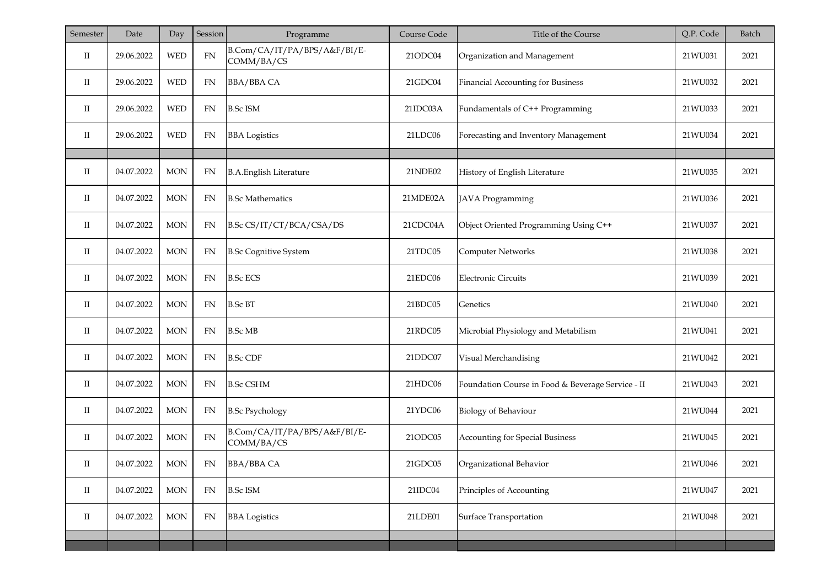| Semester             | Date       | Day        | Session    | Programme                                  | Course Code | Title of the Course                               | Q.P. Code | Batch |
|----------------------|------------|------------|------------|--------------------------------------------|-------------|---------------------------------------------------|-----------|-------|
| П                    | 29.06.2022 | <b>WED</b> | ${\rm FN}$ | B.Com/CA/IT/PA/BPS/A&F/BI/E-<br>COMM/BA/CS | 21ODC04     | Organization and Management                       | 21WU031   | 2021  |
| П                    | 29.06.2022 | <b>WED</b> | FN         | <b>BBA/BBA CA</b>                          | 21GDC04     | Financial Accounting for Business                 | 21WU032   | 2021  |
| П                    | 29.06.2022 | <b>WED</b> | FN         | <b>B.Sc ISM</b>                            | 21IDC03A    | Fundamentals of C++ Programming                   | 21WU033   | 2021  |
| П                    | 29.06.2022 | <b>WED</b> | FN         | <b>BBA</b> Logistics                       | 21LDC06     | Forecasting and Inventory Management              | 21WU034   | 2021  |
|                      |            |            |            |                                            |             |                                                   |           |       |
| П                    | 04.07.2022 | <b>MON</b> | <b>FN</b>  | <b>B.A.English Literature</b>              | 21NDE02     | History of English Literature                     | 21WU035   | 2021  |
| П                    | 04.07.2022 | <b>MON</b> | ${\rm FN}$ | <b>B.Sc Mathematics</b>                    | 21MDE02A    | JAVA Programming                                  | 21WU036   | 2021  |
| П                    | 04.07.2022 | <b>MON</b> | FN         | B.Sc CS/IT/CT/BCA/CSA/DS                   | 21CDC04A    | Object Oriented Programming Using C++             | 21WU037   | 2021  |
| П                    | 04.07.2022 | <b>MON</b> | <b>FN</b>  | <b>B.Sc Cognitive System</b>               | 21TDC05     | Computer Networks                                 | 21WU038   | 2021  |
| П                    | 04.07.2022 | <b>MON</b> | ${\rm FN}$ | <b>B.Sc ECS</b>                            | 21EDC06     | <b>Electronic Circuits</b>                        | 21WU039   | 2021  |
| $_{\rm II}$          | 04.07.2022 | <b>MON</b> | ${\rm FN}$ | <b>B.Sc BT</b>                             | 21BDC05     | Genetics                                          | 21WU040   | 2021  |
| П                    | 04.07.2022 | <b>MON</b> | <b>FN</b>  | <b>B.Sc MB</b>                             | 21RDC05     | Microbial Physiology and Metabilism               | 21WU041   | 2021  |
| П                    | 04.07.2022 | <b>MON</b> | ${\rm FN}$ | <b>B.Sc CDF</b>                            | 21DDC07     | Visual Merchandising                              | 21WU042   | 2021  |
| П                    | 04.07.2022 | <b>MON</b> | <b>FN</b>  | <b>B.Sc CSHM</b>                           | 21HDC06     | Foundation Course in Food & Beverage Service - II | 21WU043   | 2021  |
| П                    | 04.07.2022 | <b>MON</b> | ${\rm FN}$ | <b>B.Sc Psychology</b>                     | 21YDC06     | <b>Biology of Behaviour</b>                       | 21WU044   | 2021  |
| П                    | 04.07.2022 | <b>MON</b> | <b>FN</b>  | B.Com/CA/IT/PA/BPS/A&F/BI/E-<br>COMM/BA/CS | 21ODC05     | Accounting for Special Business                   | 21WU045   | 2021  |
| $_{\rm II}$          | 04.07.2022 | MON        | FN         | BBA/BBA CA                                 | 21GDC05     | Organizational Behavior                           | 21WU046   | 2021  |
| $\rm II$             | 04.07.2022 | $\rm{MON}$ | ${\rm FN}$ | <b>B.Sc ISM</b>                            | 21IDC04     | Principles of Accounting                          | 21WU047   | 2021  |
| $\scriptstyle\rm II$ | 04.07.2022 | $\rm{MON}$ | FN         | <b>BBA</b> Logistics                       | 21LDE01     | Surface Transportation                            | 21WU048   | 2021  |
|                      |            |            |            |                                            |             |                                                   |           |       |
|                      |            |            |            |                                            |             |                                                   |           |       |